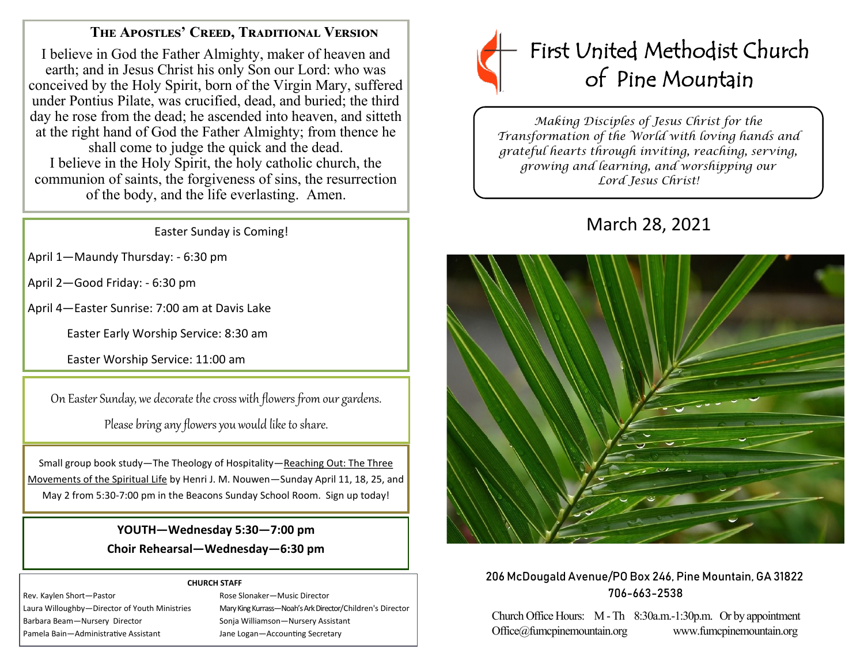## **The Apostles' Creed, Traditional Version**

I believe in God the Father Almighty, maker of heaven and earth; and in Jesus Christ his only Son our Lord: who was conceived by the Holy Spirit, born of the Virgin Mary, suffered under Pontius Pilate, was crucified, dead, and buried; the third day he rose from the dead; he ascended into heaven, and sitteth at the right hand of God the Father Almighty; from thence he shall come to judge the quick and the dead. I believe in the Holy Spirit, the holy catholic church, the communion of saints, the forgiveness of sins, the resurrection of the body, and the life everlasting. Amen.

Easter Sunday is Coming!

April 1—Maundy Thursday: - 6:30 pm

April 2—Good Friday: - 6:30 pm

April 4—Easter Sunrise: 7:00 am at Davis Lake

Easter Early Worship Service: 8:30 am

Easter Worship Service: 11:00 am

On Easter Sunday, we decorate the cross with flowers from our gardens.

Please bring any flowers you would like to share.

Small group book study—The Theology of Hospitality—Reaching Out: The Three Movements of the Spiritual Life by Henri J. M. Nouwen—Sunday April 11, 18, 25, and May 2 from 5:30-7:00 pm in the Beacons Sunday School Room. Sign up today!

> **YOUTH—Wednesday 5:30—7:00 pm Choir Rehearsal—Wednesday—6:30 pm**

#### **CHURCH STAFF**

Rev. Kaylen Short—Pastor **Rose Slonaker—Music Director** Rose Slonaker—Music Director Barbara Beam—Nursery Director Sonja Williamson—Nursery Assistant Pamela Bain—Administrative Assistant Jane Logan—Accounting Secretary

Laura Willoughby—Director of Youth Ministries Mary King Kurrass—Noah's Ark Director/Children's Director



*Making Disciples of Jesus Christ for the Transformation of the World with loving hands and grateful hearts through inviting, reaching, serving, growing and learning, and worshipping our Lord Jesus Christ!* 

# March 28, 2021



## 206 McDougald Avenue/PO Box 246, Pine Mountain, GA 31822 706-663-2538

Church Office Hours: M -Th 8:30a.m.-1:30p.m. Or by appointment Office@fumcpinemountain.org www.fumcpinemountain.org